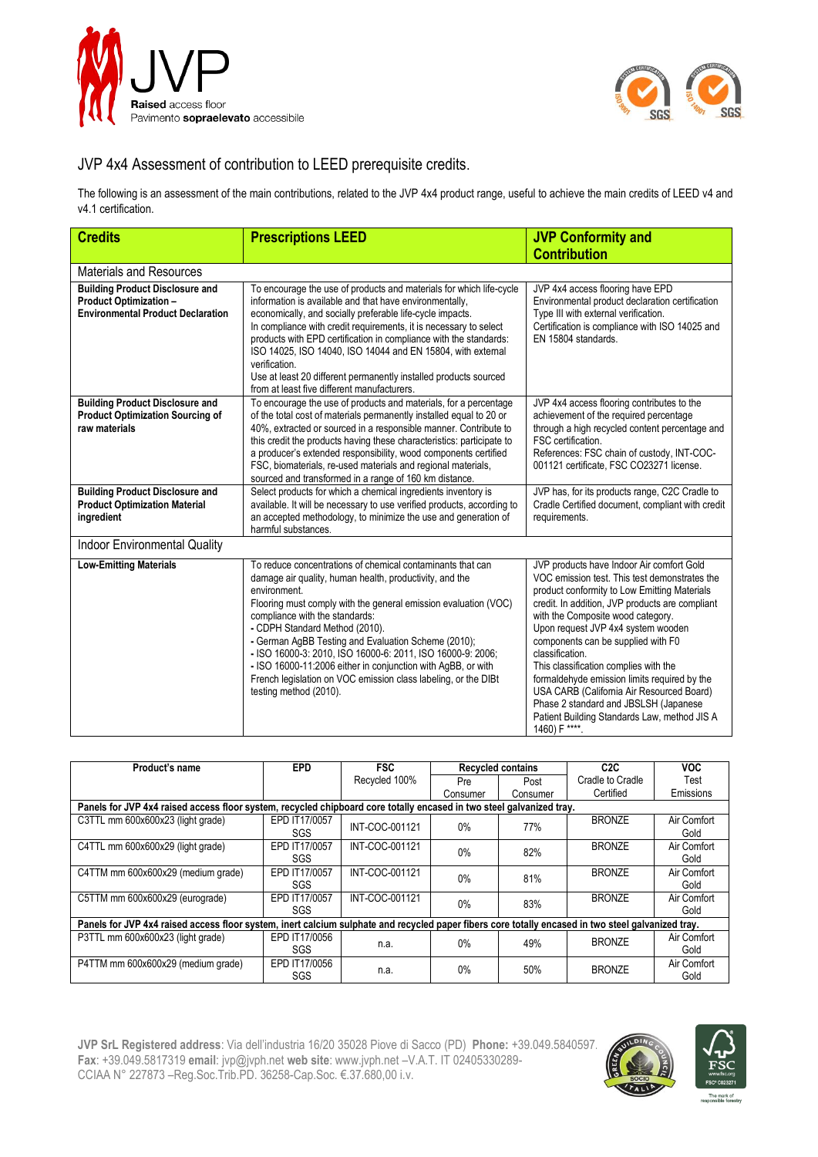



## JVP 4x4 Assessment of contribution to LEED prerequisite credits.

The following is an assessment of the main contributions, related to the JVP 4x4 product range, useful to achieve the main credits of LEED v4 and v4.1 certification.

| <b>Credits</b>                                                                                                      | <b>Prescriptions LEED</b>                                                                                                                                                                                                                                                                                                                                                                                                                                                                                                                                     | <b>JVP Conformity and</b>                                                                                                                                                                                                                                                                                                                                                                                                                                                                                                                                                         |  |  |
|---------------------------------------------------------------------------------------------------------------------|---------------------------------------------------------------------------------------------------------------------------------------------------------------------------------------------------------------------------------------------------------------------------------------------------------------------------------------------------------------------------------------------------------------------------------------------------------------------------------------------------------------------------------------------------------------|-----------------------------------------------------------------------------------------------------------------------------------------------------------------------------------------------------------------------------------------------------------------------------------------------------------------------------------------------------------------------------------------------------------------------------------------------------------------------------------------------------------------------------------------------------------------------------------|--|--|
|                                                                                                                     |                                                                                                                                                                                                                                                                                                                                                                                                                                                                                                                                                               | <b>Contribution</b>                                                                                                                                                                                                                                                                                                                                                                                                                                                                                                                                                               |  |  |
| <b>Materials and Resources</b>                                                                                      |                                                                                                                                                                                                                                                                                                                                                                                                                                                                                                                                                               |                                                                                                                                                                                                                                                                                                                                                                                                                                                                                                                                                                                   |  |  |
| <b>Building Product Disclosure and</b><br><b>Product Optimization -</b><br><b>Environmental Product Declaration</b> | To encourage the use of products and materials for which life-cycle<br>information is available and that have environmentally.<br>economically, and socially preferable life-cycle impacts.<br>In compliance with credit requirements, it is necessary to select<br>products with EPD certification in compliance with the standards:<br>ISO 14025, ISO 14040, ISO 14044 and EN 15804, with external<br>verification.<br>Use at least 20 different permanently installed products sourced<br>from at least five different manufacturers.                      | JVP 4x4 access flooring have EPD<br>Environmental product declaration certification<br>Type III with external verification.<br>Certification is compliance with ISO 14025 and<br>EN 15804 standards.                                                                                                                                                                                                                                                                                                                                                                              |  |  |
| <b>Building Product Disclosure and</b><br><b>Product Optimization Sourcing of</b><br>raw materials                  | To encourage the use of products and materials, for a percentage<br>of the total cost of materials permanently installed equal to 20 or<br>40%, extracted or sourced in a responsible manner. Contribute to<br>this credit the products having these characteristics: participate to<br>a producer's extended responsibility, wood components certified<br>FSC, biomaterials, re-used materials and regional materials,<br>sourced and transformed in a range of 160 km distance.                                                                             | JVP 4x4 access flooring contributes to the<br>achievement of the required percentage<br>through a high recycled content percentage and<br>FSC certification.<br>References: FSC chain of custody, INT-COC-<br>001121 certificate, FSC CO23271 license.                                                                                                                                                                                                                                                                                                                            |  |  |
| <b>Building Product Disclosure and</b><br><b>Product Optimization Material</b><br>ingredient                        | Select products for which a chemical ingredients inventory is<br>available. It will be necessary to use verified products, according to<br>an accepted methodology, to minimize the use and generation of<br>harmful substances.                                                                                                                                                                                                                                                                                                                              | JVP has, for its products range, C2C Cradle to<br>Cradle Certified document, compliant with credit<br>requirements.                                                                                                                                                                                                                                                                                                                                                                                                                                                               |  |  |
| <b>Indoor Environmental Quality</b>                                                                                 |                                                                                                                                                                                                                                                                                                                                                                                                                                                                                                                                                               |                                                                                                                                                                                                                                                                                                                                                                                                                                                                                                                                                                                   |  |  |
| <b>Low-Emitting Materials</b>                                                                                       | To reduce concentrations of chemical contaminants that can<br>damage air quality, human health, productivity, and the<br>environment.<br>Flooring must comply with the general emission evaluation (VOC)<br>compliance with the standards:<br>- CDPH Standard Method (2010).<br>- German AgBB Testing and Evaluation Scheme (2010);<br>- ISO 16000-3: 2010, ISO 16000-6: 2011, ISO 16000-9: 2006;<br>- ISO 16000-11:2006 either in conjunction with AgBB, or with<br>French legislation on VOC emission class labeling, or the DIBt<br>testing method (2010). | JVP products have Indoor Air comfort Gold<br>VOC emission test. This test demonstrates the<br>product conformity to Low Emitting Materials<br>credit. In addition, JVP products are compliant<br>with the Composite wood category.<br>Upon request JVP 4x4 system wooden<br>components can be supplied with F0<br>classification.<br>This classification complies with the<br>formaldehyde emission limits required by the<br>USA CARB (California Air Resourced Board)<br>Phase 2 standard and JBSLSH (Japanese<br>Patient Building Standards Law, method JIS A<br>1460) F ****. |  |  |

| Product's name                                                                                                                                     | <b>EPD</b>                  | <b>FSC</b>     |                          |          | C <sub>2</sub> C | <b>VOC</b>          |  |  |  |
|----------------------------------------------------------------------------------------------------------------------------------------------------|-----------------------------|----------------|--------------------------|----------|------------------|---------------------|--|--|--|
|                                                                                                                                                    |                             |                | <b>Recycled contains</b> |          |                  |                     |  |  |  |
|                                                                                                                                                    |                             | Recycled 100%  | Pre                      | Post     | Cradle to Cradle | Test                |  |  |  |
|                                                                                                                                                    |                             |                | Consumer                 | Consumer | Certified        | Emissions           |  |  |  |
| Panels for JVP 4x4 raised access floor system, recycled chipboard core totally encased in two steel galvanized tray.                               |                             |                |                          |          |                  |                     |  |  |  |
| C3TTL mm 600x600x23 (light grade)                                                                                                                  | EPD IT17/0057<br>SGS        | INT-COC-001121 | 0%                       | 77%      | <b>BRONZE</b>    | Air Comfort<br>Gold |  |  |  |
| C4TTL mm 600x600x29 (light grade)                                                                                                                  | EPD IT17/0057<br>SGS        | INT-COC-001121 | 0%                       | 82%      | <b>BRONZE</b>    | Air Comfort<br>Gold |  |  |  |
| C4TTM mm 600x600x29 (medium grade)                                                                                                                 | EPD IT17/0057<br>SGS        | INT-COC-001121 | 0%                       | 81%      | <b>BRONZE</b>    | Air Comfort<br>Gold |  |  |  |
| C5TTM mm 600x600x29 (eurograde)                                                                                                                    | EPD IT17/0057<br><b>SGS</b> | INT-COC-001121 | $0\%$                    | 83%      | <b>BRONZE</b>    | Air Comfort<br>Gold |  |  |  |
| Panels for JVP 4x4 raised access floor system, inert calcium sulphate and recycled paper fibers core totally encased in two steel galvanized tray. |                             |                |                          |          |                  |                     |  |  |  |
| P3TTL mm 600x600x23 (light grade)                                                                                                                  | EPD IT17/0056<br><b>SGS</b> | n.a.           | $0\%$                    | 49%      | <b>BRONZE</b>    | Air Comfort<br>Gold |  |  |  |
| P4TTM mm 600x600x29 (medium grade)                                                                                                                 | EPD IT17/0056<br>SGS        | n.a.           | $0\%$                    | 50%      | <b>BRONZE</b>    | Air Comfort<br>Gold |  |  |  |

**JVP SrL Registered address**: Via dell'industria 16/20 35028 Piove di Sacco (PD) Phone: +39.049.5840597 **Fax**: +39.049.5817319 **email**: [jvp@jvph.net](mailto:jvp@jvph.net) **web site**: [www.jvph.net](http://www.jvph.net/) –V.A.T. IT 02405330289- CCIAA N° 227873 –Reg.Soc.Trib.PD. 36258-Cap.Soc. €.37.680,00 i.v.